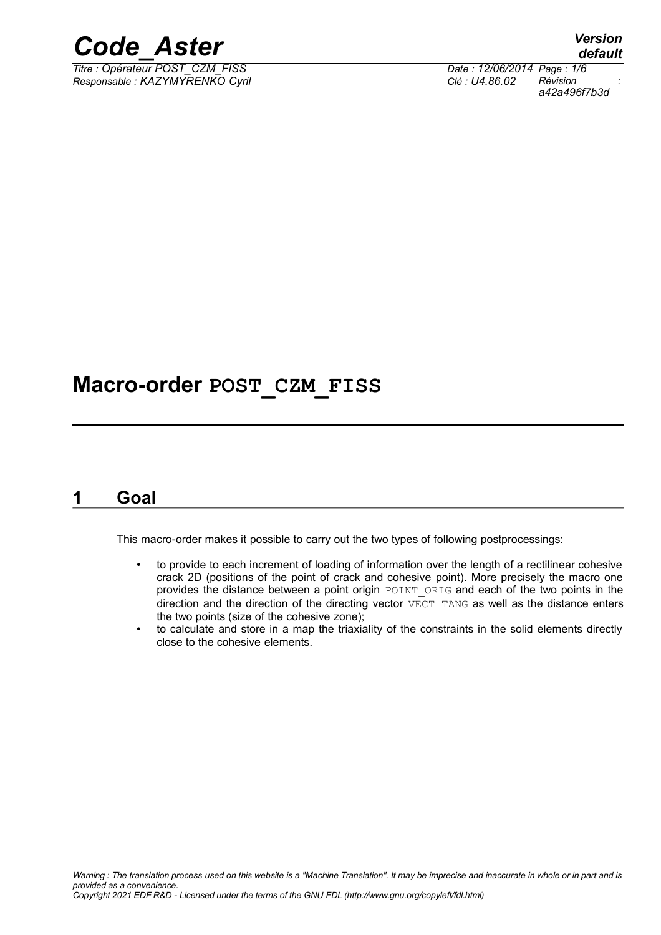

*Titre : Opérateur POST\_CZM\_FISS Date : 12/06/2014 Page : 1/6 Responsable : KAZYMYRENKO Cyril Clé : U4.86.02 Révision :*

## *a42a496f7b3d*

## **Macro-order POST\_CZM\_FISS**

## **1 Goal**

This macro-order makes it possible to carry out the two types of following postprocessings:

- to provide to each increment of loading of information over the length of a rectilinear cohesive crack 2D (positions of the point of crack and cohesive point). More precisely the macro one provides the distance between a point origin POINT ORIG and each of the two points in the direction and the direction of the directing vector  $\overline{VECT}$  TANG as well as the distance enters the two points (size of the cohesive zone);
- to calculate and store in a map the triaxiality of the constraints in the solid elements directly close to the cohesive elements.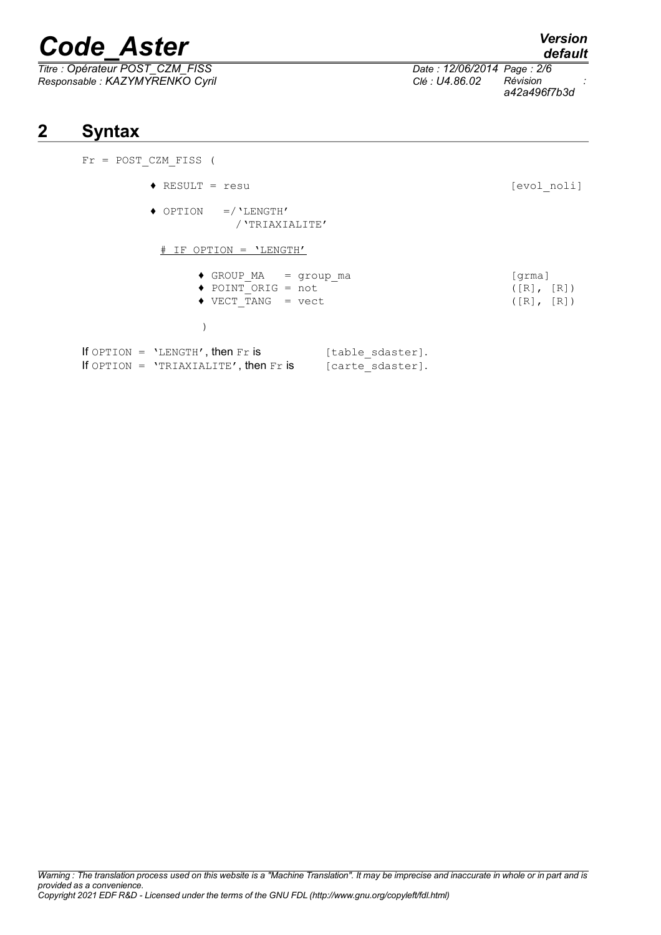*Titre : Opérateur POST\_CZM\_FISS Date : 12/06/2014 Page : 2/6 Responsable : KAZYMYRENKO Cyril Clé : U4.86.02 Révision :*

## **2 Syntax**

| $Fr = POST CZM FISS$ (                                                                                                  |                                                              |
|-------------------------------------------------------------------------------------------------------------------------|--------------------------------------------------------------|
| $\triangleleft$ RESULT = resu                                                                                           | [evol noli]                                                  |
| $\rightarrow$ OPTION =/'LENGTH'<br>/ 'TRIAXIALITE'                                                                      |                                                              |
| # IF OPTION = 'LENGTH'                                                                                                  |                                                              |
| $\bullet$ GROUP MA = group_ma<br>$\blacklozenge$ POINT ORIG = not<br>$\blacklozenge$ VECT TANG = vect                   | [qrma]<br>$(\lceil R \rceil, \lceil R \rceil)$<br>([R], [R]) |
| If OPTION = $'LENGTH'$ , then Fr is<br>[table sdaster].<br>If OPTION = $'TRIAXIALITE'$ , then Fr is<br>[carte sdaster]. |                                                              |

*a42a496f7b3d*

*default*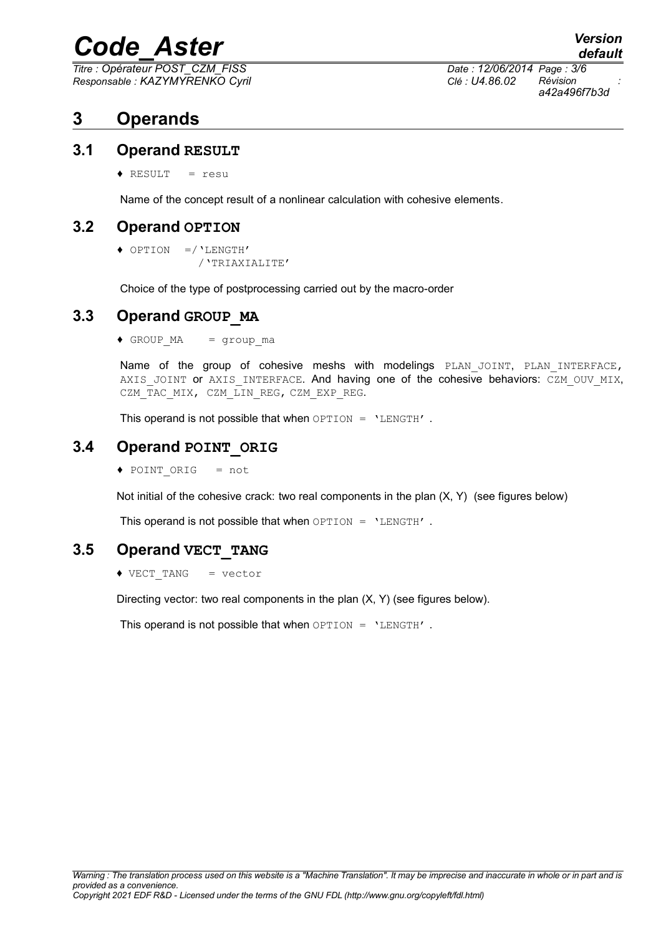*Titre : Opérateur POST\_CZM\_FISS Date : 12/06/2014 Page : 3/6 Responsable : KAZYMYRENKO Cyril Clé : U4.86.02 Révision :*

*a42a496f7b3d*

## **3 Operands**

#### **3.1 Operand RESULT**

♦ RESULT = resu

Name of the concept result of a nonlinear calculation with cohesive elements.

#### **3.2 Operand OPTION**

```
♦ OPTION =/'LENGTH'
 /'TRIAXIALITE'
```
Choice of the type of postprocessing carried out by the macro-order

### **3.3 Operand GROUP\_MA**

 $\triangleleft$  GROUP MA = group ma

Name of the group of cohesive meshs with modelings PLAN JOINT, PLAN INTERFACE, AXIS JOINT or AXIS INTERFACE. And having one of the cohesive behaviors: CZM OUV MIX, CZM\_TAC\_MIX, CZM\_LIN\_REG, CZM\_EXP\_REG.

This operand is not possible that when  $OPTION = 'LENGTH'$ .

### **3.4 Operand POINT\_ORIG**

♦ POINT\_ORIG = not

Not initial of the cohesive crack: two real components in the plan (X, Y) (see figures below)

This operand is not possible that when  $OPTION = 'LENGTH'$ .

### **3.5 Operand VECT\_TANG**

♦ VECT\_TANG = vector

Directing vector: two real components in the plan (X, Y) (see figures below).

This operand is not possible that when OPTION = 'LENGTH' .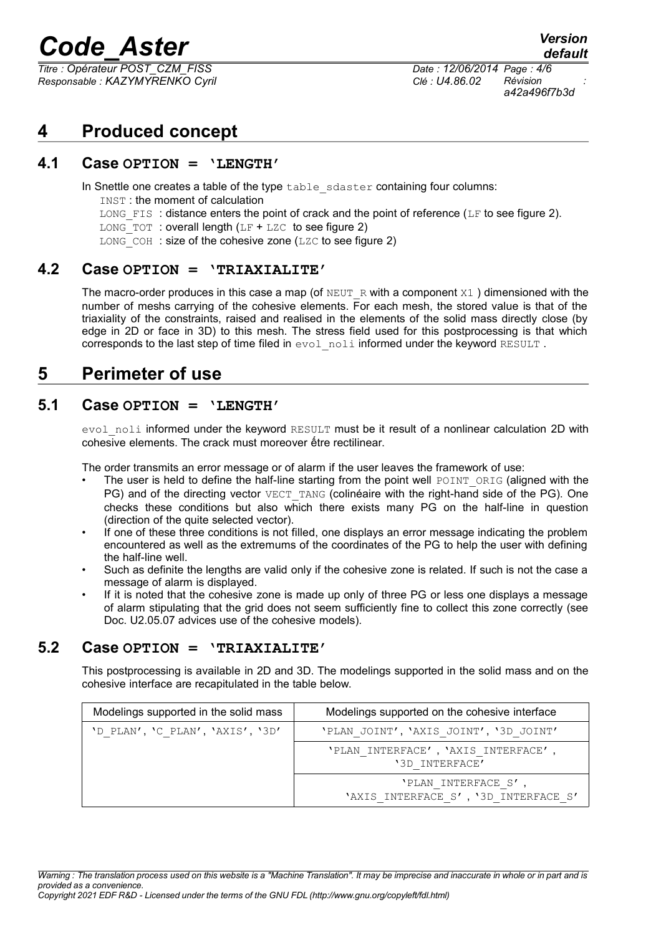*Titre : Opérateur POST\_CZM\_FISS Date : 12/06/2014 Page : 4/6 Responsable : KAZYMYRENKO Cyril Clé : U4.86.02 Révision :*

*a42a496f7b3d*

*default*

## **4 Produced concept**

#### **4.1 Case OPTION = 'LENGTH'**

In Snettle one creates a table of the type table sdaster containing four columns:

- INST : the moment of calculation
- LONG FIS: distance enters the point of crack and the point of reference (LF to see figure 2).
- LONG TOT : overall length  $(LF + LZC)$  to see figure 2)
- $LONG$  COH : size of the cohesive zone (LZC to see figure 2)

#### **4.2 Case OPTION = 'TRIAXIALITE'**

The macro-order produces in this case a map (of NEUT R with a component  $X1$ ) dimensioned with the number of meshs carrying of the cohesive elements. For each mesh, the stored value is that of the triaxiality of the constraints, raised and realised in the elements of the solid mass directly close (by edge in 2D or face in 3D) to this mesh. The stress field used for this postprocessing is that which corresponds to the last step of time filed in evol noli informed under the keyword RESULT.

### **5 Perimeter of use**

### **5.1 Case OPTION = 'LENGTH'**

evol noli informed under the keyword RESULT must be it result of a nonlinear calculation 2D with cohesive elements. The crack must moreover ếtre rectilinear.

The order transmits an error message or of alarm if the user leaves the framework of use:

- The user is held to define the half-line starting from the point well POINT\_ORIG (aligned with the PG) and of the directing vector VECT TANG (colinéaire with the right-hand side of the PG). One checks these conditions but also which there exists many PG on the half-line in question (direction of the quite selected vector).
- If one of these three conditions is not filled, one displays an error message indicating the problem encountered as well as the extremums of the coordinates of the PG to help the user with defining the half-line well.
- Such as definite the lengths are valid only if the cohesive zone is related. If such is not the case a message of alarm is displayed.
- If it is noted that the cohesive zone is made up only of three PG or less one displays a message of alarm stipulating that the grid does not seem sufficiently fine to collect this zone correctly (see Doc. U2.05.07 advices use of the cohesive models).

#### **5.2 Case OPTION = 'TRIAXIALITE'**

This postprocessing is available in 2D and 3D. The modelings supported in the solid mass and on the cohesive interface are recapitulated in the table below.

| Modelings supported in the solid mass | Modelings supported on the cohesive interface              |
|---------------------------------------|------------------------------------------------------------|
| 'D PLAN', 'C PLAN', 'AXIS', '3D'      | 'PLAN JOINT', 'AXIS JOINT', '3D JOINT'                     |
|                                       | 'PLAN INTERFACE', 'AXIS INTERFACE',<br>'3D INTERFACE'      |
|                                       | 'PLAN INTERFACE S'<br>'AXIS INTERFACE S', '3D INTERFACE S' |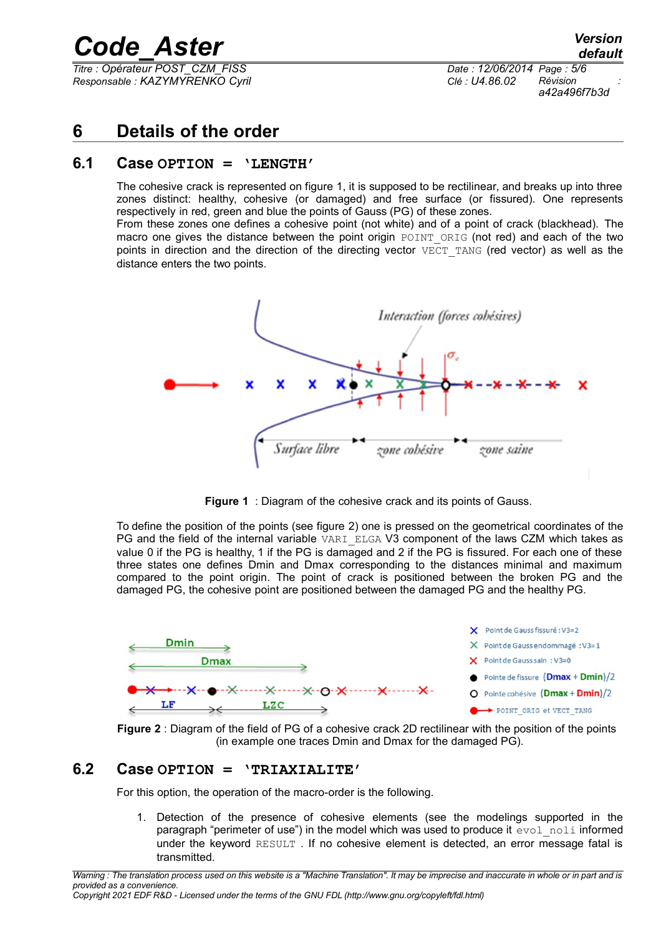*Titre : Opérateur POST\_CZM\_FISS Date : 12/06/2014 Page : 5/6 Responsable : KAZYMYRENKO Cyril Clé : U4.86.02 Révision :*

*a42a496f7b3d*

## **6 Details of the order**

#### **6.1 Case OPTION = 'LENGTH'**

The cohesive crack is represented on figure 1, it is supposed to be rectilinear, and breaks up into three zones distinct: healthy, cohesive (or damaged) and free surface (or fissured). One represents respectively in red, green and blue the points of Gauss (PG) of these zones. From these zones one defines a cohesive point (not white) and of a point of crack (blackhead). The

macro one gives the distance between the point origin POINT ORIG (not red) and each of the two points in direction and the direction of the directing vector  $VECT TANG$  (red vector) as well as the distance enters the two points.



**Figure 1** : Diagram of the cohesive crack and its points of Gauss.

To define the position of the points (see figure 2) one is pressed on the geometrical coordinates of the PG and the field of the internal variable VARI ELGA V3 component of the laws CZM which takes as value 0 if the PG is healthy, 1 if the PG is damaged and 2 if the PG is fissured. For each one of these three states one defines Dmin and Dmax corresponding to the distances minimal and maximum compared to the point origin. The point of crack is positioned between the broken PG and the damaged PG, the cohesive point are positioned between the damaged PG and the healthy PG.



**Figure 2** : Diagram of the field of PG of a cohesive crack 2D rectilinear with the position of the points (in example one traces Dmin and Dmax for the damaged PG).

#### **6.2 Case OPTION = 'TRIAXIALITE'**

For this option, the operation of the macro-order is the following.

1. Detection of the presence of cohesive elements (see the modelings supported in the paragraph "perimeter of use") in the model which was used to produce it evol noli informed under the keyword RESULT . If no cohesive element is detected, an error message fatal is transmitted.